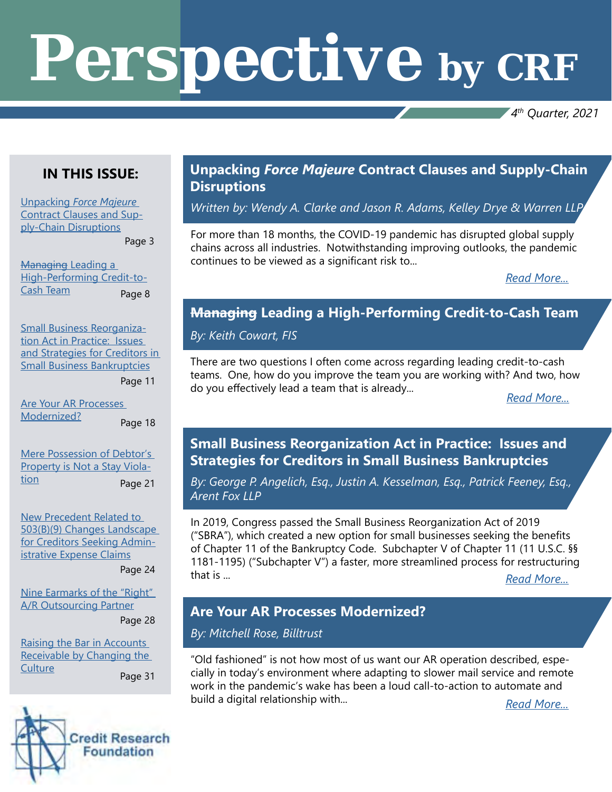# *Perspective by CRF*

*4th Quarter, 2021*

## **IN THIS ISSUE:**

Unpacking *[Force Majeure](#page-1-0)* [Contract Clauses and Sup](#page-1-0)[ply-Chain Disruptions](#page-1-0)

Page 3

**Managing Leading a** [High-Performing Credit-to-](#page--1-0)[Cash Team](#page--1-0) Page 8

[Small Business Reorganiza](#page--1-0)[tion Act in Practice: Issues](#page--1-0)  [and Strategies for Creditors in](#page--1-0)  [Small Business Bankruptcies](#page--1-0)

Page 11

[Are Your AR Processes](#page--1-0)  [Modernized?](#page--1-0) Page 18

[Mere Possession of Debtor's](#page--1-0)  [Property is Not a Stay Viola](#page--1-0)[tion](#page--1-0) Page 21

[New Precedent Related to](#page--1-0)  [503\(B\)\(9\) Changes Landscape](#page--1-0)  [for Creditors Seeking Admin](#page--1-0)[istrative Expense Claims](#page--1-0)

Page 24

[Nine Earmarks of the "Right"](#page--1-0)  [A/R Outsourcing Partner](#page--1-0) Page 28

[Raising the Bar in Accounts](#page--1-0)  [Receivable by Changing the](#page--1-0)  **[Culture](#page--1-0)** Page 31

**Credit Research Foundation** 

### **Unpacking** *Force Majeure* **Contract Clauses and Supply-Chain Disruptions**

*Written by: Wendy A. Clarke and Jason R. Adams, Kelley Drye & Warren LLP*

For more than 18 months, the COVID-19 pandemic has disrupted global supply chains across all industries. Notwithstanding improving outlooks, the pandemic continues to be viewed as a significant risk to...

*[Read More...](#page-1-0)*

## **Managing Leading a High-Performing Credit-to-Cash Team**

*By: Keith Cowart, FIS*

There are two questions I often come across regarding leading credit-to-cash teams. One, how do you improve the team you are working with? And two, how do you effectively lead a team that is already... *[Read More...](#page--1-0)*

## **Small Business Reorganization Act in Practice: Issues and Strategies for Creditors in Small Business Bankruptcies**

*By: George P. Angelich, Esq., Justin A. Kesselman, Esq., Patrick Feeney, Esq., Arent Fox LLP*

In 2019, Congress passed the Small Business Reorganization Act of 2019 ("SBRA"), which created a new option for small businesses seeking the benefits of Chapter 11 of the Bankruptcy Code. Subchapter V of Chapter 11 (11 U.S.C. §§ 1181-1195) ("Subchapter V") a faster, more streamlined process for restructuring that is ... *[Read More...](#page--1-0) Read More...* 

## **Are Your AR Processes Modernized?**

*By: Mitchell Rose, Billtrust*

"Old fashioned" is not how most of us want our AR operation described, especially in today's environment where adapting to slower mail service and remote work in the pandemic's wake has been a loud call-to-action to automate and build a digital relationship with... *[Read More...](#page--1-0)*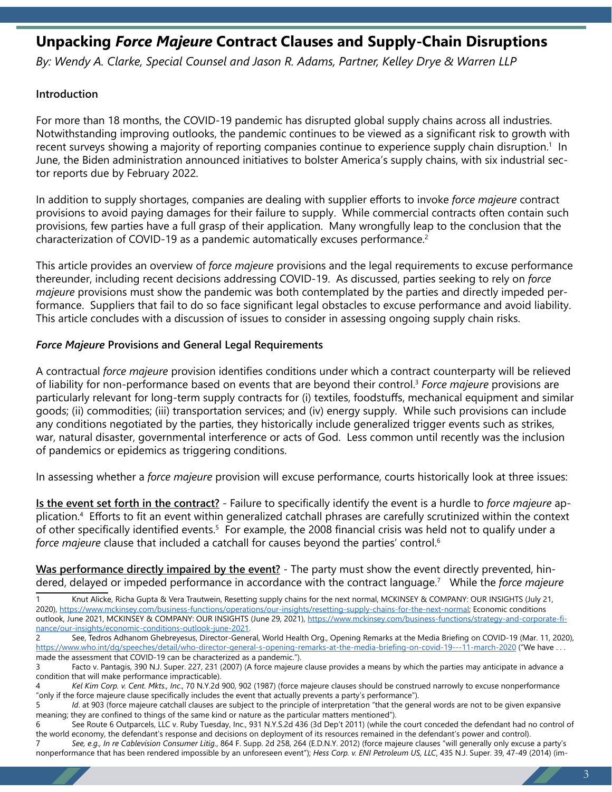## <span id="page-1-0"></span>**Unpacking** *Force Majeure* **Contract Clauses and Supply-Chain Disruptions**

*By: Wendy A. Clarke, Special Counsel and Jason R. Adams, Partner, Kelley Drye & Warren LLP*

#### **Introduction**

For more than 18 months, the COVID-19 pandemic has disrupted global supply chains across all industries. Notwithstanding improving outlooks, the pandemic continues to be viewed as a significant risk to growth with recent surveys showing a majority of reporting companies continue to experience supply chain disruption.<sup>1</sup> In June, the Biden administration announced initiatives to bolster America's supply chains, with six industrial sector reports due by February 2022.

In addition to supply shortages, companies are dealing with supplier efforts to invoke *force majeure* contract provisions to avoid paying damages for their failure to supply. While commercial contracts often contain such provisions, few parties have a full grasp of their application. Many wrongfully leap to the conclusion that the characterization of COVID-19 as a pandemic automatically excuses performance.<sup>2</sup>

This article provides an overview of *force majeure* provisions and the legal requirements to excuse performance thereunder, including recent decisions addressing COVID-19. As discussed, parties seeking to rely on *force majeure* provisions must show the pandemic was both contemplated by the parties and directly impeded performance. Suppliers that fail to do so face significant legal obstacles to excuse performance and avoid liability. This article concludes with a discussion of issues to consider in assessing ongoing supply chain risks.

#### *Force Majeure* **Provisions and General Legal Requirements**

A contractual *force majeure* provision identifies conditions under which a contract counterparty will be relieved of liability for non-performance based on events that are beyond their control.3 *Force majeure* provisions are particularly relevant for long-term supply contracts for (i) textiles, foodstuffs, mechanical equipment and similar goods; (ii) commodities; (iii) transportation services; and (iv) energy supply. While such provisions can include any conditions negotiated by the parties, they historically include generalized trigger events such as strikes, war, natural disaster, governmental interference or acts of God. Less common until recently was the inclusion of pandemics or epidemics as triggering conditions.

In assessing whether a *force majeure* provision will excuse performance, courts historically look at three issues:

**Is the event set forth in the contract?** - Failure to specifically identify the event is a hurdle to *force majeure* application.4 Efforts to fit an event within generalized catchall phrases are carefully scrutinized within the context of other specifically identified events.<sup>5</sup> For example, the 2008 financial crisis was held not to qualify under a *force majeure* clause that included a catchall for causes beyond the parties' control.<sup>6</sup>

**Was performance directly impaired by the event?** - The party must show the event directly prevented, hindered, delayed or impeded performance in accordance with the contract language.7 While the *force majeure*

Knut Alicke, Richa Gupta & Vera Trautwein, Resetting supply chains for the next normal, MCKINSEY & COMPANY: OUR INSIGHTS (July 21, 2020), <https://www.mckinsey.com/business-functions/operations/our-insights/resetting-supply-chains-for-the-next-normal>; Economic conditions outlook, June 2021, MCKINSEY & COMPANY: OUR INSIGHTS (June 29, 2021), [https://www.mckinsey.com/business-functions/strategy-and-corporate-fi](https://www.mckinsey.com/business-functions/strategy-and-corporate-finance/our-insights/economic-conditions-outlook-june-2021)[nance/our-insights/economic-conditions-outlook-june-2021](https://www.mckinsey.com/business-functions/strategy-and-corporate-finance/our-insights/economic-conditions-outlook-june-2021).

<sup>2</sup> See, Tedros Adhanom Ghebreyesus, Director-General, World Health Org., Opening Remarks at the Media Briefing on COVID-19 (Mar. 11, 2020), <https://www.who.int/dg/speeches/detail/who-director-general-s-opening-remarks-at-the-media-briefing-on-covid-19---11-march-2020> ("We have . . . made the assessment that COVID-19 can be characterized as a pandemic.").

<sup>3</sup> Facto v. Pantagis, 390 N.J. Super. 227, 231 (2007) (A force majeure clause provides a means by which the parties may anticipate in advance a condition that will make performance impracticable).

<sup>4</sup> *Kel Kim Corp. v. Cent. Mkts., Inc*., 70 N.Y.2d 900, 902 (1987) (force majeure clauses should be construed narrowly to excuse nonperformance "only if the force majeure clause specifically includes the event that actually prevents a party's performance").

<sup>5</sup> *Id*. at 903 (force majeure catchall clauses are subject to the principle of interpretation "that the general words are not to be given expansive meaning; they are confined to things of the same kind or nature as the particular matters mentioned").

<sup>6</sup> See Route 6 Outparcels, LLC v. Ruby Tuesday, Inc., 931 N.Y.S.2d 436 (3d Dep't 2011) (while the court conceded the defendant had no control of the world economy, the defendant's response and decisions on deployment of its resources remained in the defendant's power and control).

<sup>7</sup> *See, e.g., In re Cablevision Consumer Litig.*, 864 F. Supp. 2d 258, 264 (E.D.N.Y. 2012) (force majeure clauses "will generally only excuse a party's nonperformance that has been rendered impossible by an unforeseen event"); *Hess Corp. v. ENI Petroleum US, LLC*, 435 N.J. Super. 39, 47-49 (2014) (im-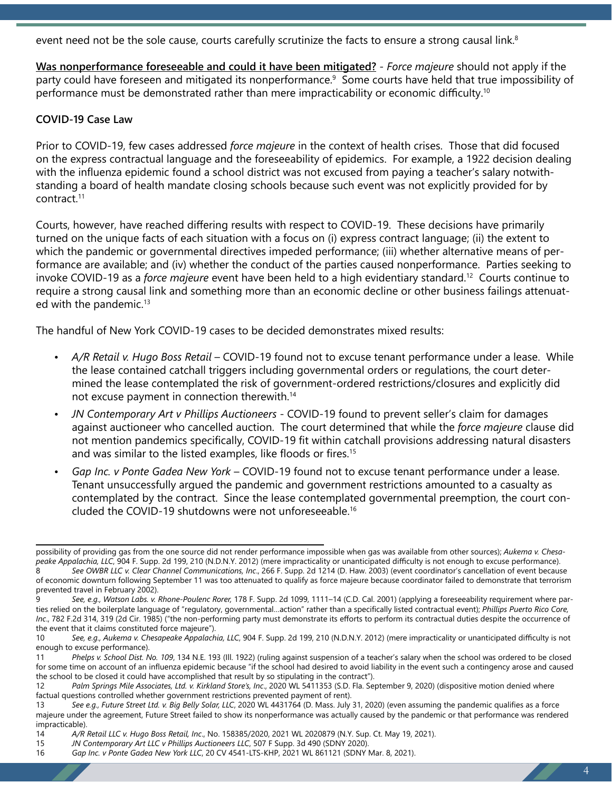event need not be the sole cause, courts carefully scrutinize the facts to ensure a strong causal link.<sup>8</sup>

**Was nonperformance foreseeable and could it have been mitigated?** - *Force majeure* should not apply if the party could have foreseen and mitigated its nonperformance.<sup>9</sup> Some courts have held that true impossibility of performance must be demonstrated rather than mere impracticability or economic difficulty.<sup>10</sup>

#### **COVID-19 Case Law**

Prior to COVID-19, few cases addressed *force majeure* in the context of health crises. Those that did focused on the express contractual language and the foreseeability of epidemics. For example, a 1922 decision dealing with the influenza epidemic found a school district was not excused from paying a teacher's salary notwithstanding a board of health mandate closing schools because such event was not explicitly provided for by contract.11

Courts, however, have reached differing results with respect to COVID-19. These decisions have primarily turned on the unique facts of each situation with a focus on (i) express contract language; (ii) the extent to which the pandemic or governmental directives impeded performance; (iii) whether alternative means of performance are available; and (iv) whether the conduct of the parties caused nonperformance. Parties seeking to invoke COVID-19 as a *force majeure* event have been held to a high evidentiary standard.12 Courts continue to require a strong causal link and something more than an economic decline or other business failings attenuated with the pandemic.<sup>13</sup>

The handful of New York COVID-19 cases to be decided demonstrates mixed results:

- *• A/R Retail v. Hugo Boss Retail* COVID-19 found not to excuse tenant performance under a lease. While the lease contained catchall triggers including governmental orders or regulations, the court determined the lease contemplated the risk of government-ordered restrictions/closures and explicitly did not excuse payment in connection therewith.14
- *• JN Contemporary Art v Phillips Auctioneers* COVID-19 found to prevent seller's claim for damages against auctioneer who cancelled auction. The court determined that while the *force majeure* clause did not mention pandemics specifically, COVID-19 fit within catchall provisions addressing natural disasters and was similar to the listed examples, like floods or fires.<sup>15</sup>
- *• Gap Inc. v Ponte Gadea New York* COVID-19 found not to excuse tenant performance under a lease. Tenant unsuccessfully argued the pandemic and government restrictions amounted to a casualty as contemplated by the contract. Since the lease contemplated governmental preemption, the court concluded the COVID-19 shutdowns were not unforeseeable.16

possibility of providing gas from the one source did not render performance impossible when gas was available from other sources); *Aukema v. Chesapeake Appalachia, LLC*, 904 F. Supp. 2d 199, 210 (N.D.N.Y. 2012) (mere impracticality or unanticipated difficulty is not enough to excuse performance).<br>8 See OWBR LLC v. Clear Channel Communications. Inc., 266 F. Supp. 2d

<sup>8</sup> *See OWBR LLC v. Clear Channel Communications, Inc*., 266 F. Supp. 2d 1214 (D. Haw. 2003) (event coordinator's cancellation of event because of economic downturn following September 11 was too attenuated to qualify as force majeure because coordinator failed to demonstrate that terrorism prevented travel in February 2002).

<sup>9</sup> *See, e.g., Watson Labs. v. Rhone-Poulenc Rorer,* 178 F. Supp. 2d 1099, 1111–14 (C.D. Cal. 2001) (applying a foreseeability requirement where parties relied on the boilerplate language of "regulatory, governmental…action" rather than a specifically listed contractual event); *Phillips Puerto Rico Core, Inc*., 782 F.2d 314, 319 (2d Cir. 1985) ("the non-performing party must demonstrate its efforts to perform its contractual duties despite the occurrence of the event that it claims constituted force majeure").

<sup>10</sup> *See, e.g., Aukema v. Chesapeake Appalachia, LLC*, 904 F. Supp. 2d 199, 210 (N.D.N.Y. 2012) (mere impracticality or unanticipated difficulty is not enough to excuse performance).

<sup>11</sup> *Phelps v. School Dist. No. 109*, 134 N.E. 193 (Ill. 1922) (ruling against suspension of a teacher's salary when the school was ordered to be closed for some time on account of an influenza epidemic because "if the school had desired to avoid liability in the event such a contingency arose and caused the school to be closed it could have accomplished that result by so stipulating in the contract").<br>12 Palm Springs Mile Associates, Ltd. v. Kirkland Store's, Inc., 2020 WL 5411353 (S.D. Fla. Set

Palm Springs Mile Associates, Ltd. v. Kirkland Store's, Inc., 2020 WL 5411353 (S.D. Fla. September 9, 2020) (dispositive motion denied where factual questions controlled whether government restrictions prevented payment of rent).

<sup>13</sup> *See e.g., Future Street Ltd. v. Big Belly Solar, LLC*, 2020 WL 4431764 (D. Mass. July 31, 2020) (even assuming the pandemic qualifies as a force majeure under the agreement, Future Street failed to show its nonperformance was actually caused by the pandemic or that performance was rendered impracticable).

<sup>14</sup> *A/R Retail LLC v. Hugo Boss Retail, Inc*., No. 158385/2020, 2021 WL 2020879 (N.Y. Sup. Ct. May 19, 2021).

<sup>15</sup> *JN Contemporary Art LLC v Phillips Auctioneers LLC*, 507 F Supp. 3d 490 (SDNY 2020).

<sup>16</sup> *Gap Inc. v Ponte Gadea New York LLC*, 20 CV 4541-LTS-KHP, 2021 WL 861121 (SDNY Mar. 8, 2021).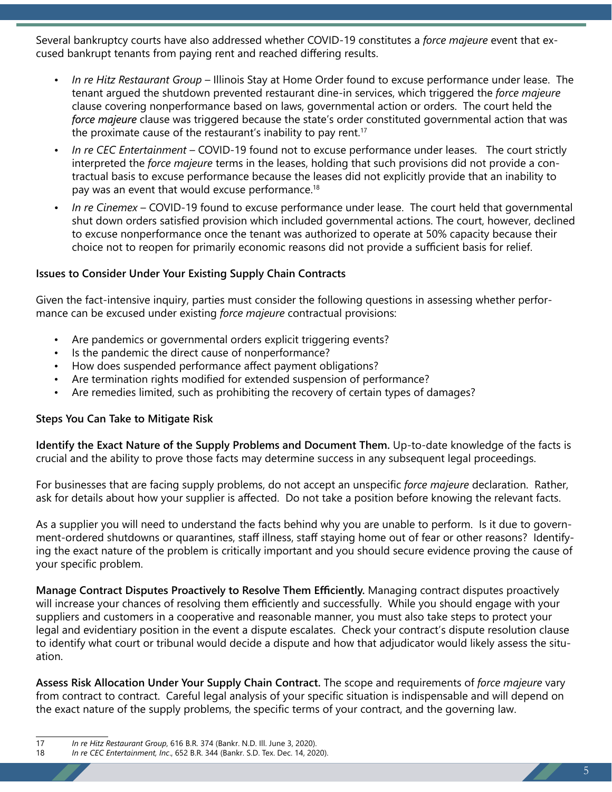Several bankruptcy courts have also addressed whether COVID-19 constitutes a *force majeure* event that excused bankrupt tenants from paying rent and reached differing results.

- *• In re Hitz Restaurant Group* Illinois Stay at Home Order found to excuse performance under lease. The tenant argued the shutdown prevented restaurant dine-in services, which triggered the *force majeure* clause covering nonperformance based on laws, governmental action or orders. The court held the *force majeure* clause was triggered because the state's order constituted governmental action that was the proximate cause of the restaurant's inability to pay rent.<sup>17</sup>
- *• In re CEC Entertainment* COVID-19 found not to excuse performance under leases. The court strictly interpreted the *force majeure* terms in the leases, holding that such provisions did not provide a contractual basis to excuse performance because the leases did not explicitly provide that an inability to pay was an event that would excuse performance.<sup>18</sup>
- *• In re Cinemex* COVID-19 found to excuse performance under lease. The court held that governmental shut down orders satisfied provision which included governmental actions. The court, however, declined to excuse nonperformance once the tenant was authorized to operate at 50% capacity because their choice not to reopen for primarily economic reasons did not provide a sufficient basis for relief.

#### **Issues to Consider Under Your Existing Supply Chain Contracts**

Given the fact-intensive inquiry, parties must consider the following questions in assessing whether performance can be excused under existing *force majeure* contractual provisions:

- Are pandemics or governmental orders explicit triggering events?
- Is the pandemic the direct cause of nonperformance?
- How does suspended performance affect payment obligations?
- Are termination rights modified for extended suspension of performance?
- Are remedies limited, such as prohibiting the recovery of certain types of damages?

#### **Steps You Can Take to Mitigate Risk**

**Identify the Exact Nature of the Supply Problems and Document Them.** Up-to-date knowledge of the facts is crucial and the ability to prove those facts may determine success in any subsequent legal proceedings.

For businesses that are facing supply problems, do not accept an unspecific *force majeure* declaration. Rather, ask for details about how your supplier is affected. Do not take a position before knowing the relevant facts.

As a supplier you will need to understand the facts behind why you are unable to perform. Is it due to government-ordered shutdowns or quarantines, staff illness, staff staying home out of fear or other reasons? Identifying the exact nature of the problem is critically important and you should secure evidence proving the cause of your specific problem.

**Manage Contract Disputes Proactively to Resolve Them Efficiently.** Managing contract disputes proactively will increase your chances of resolving them efficiently and successfully. While you should engage with your suppliers and customers in a cooperative and reasonable manner, you must also take steps to protect your legal and evidentiary position in the event a dispute escalates. Check your contract's dispute resolution clause to identify what court or tribunal would decide a dispute and how that adjudicator would likely assess the situation.

**Assess Risk Allocation Under Your Supply Chain Contract.** The scope and requirements of *force majeure* vary from contract to contract. Careful legal analysis of your specific situation is indispensable and will depend on the exact nature of the supply problems, the specific terms of your contract, and the governing law.

<sup>17</sup> *In re Hitz Restaurant Group*, 616 B.R. 374 (Bankr. N.D. Ill. June 3, 2020).

<sup>18</sup> *In re CEC Entertainment, Inc*., 652 B.R. 344 (Bankr. S.D. Tex. Dec. 14, 2020).